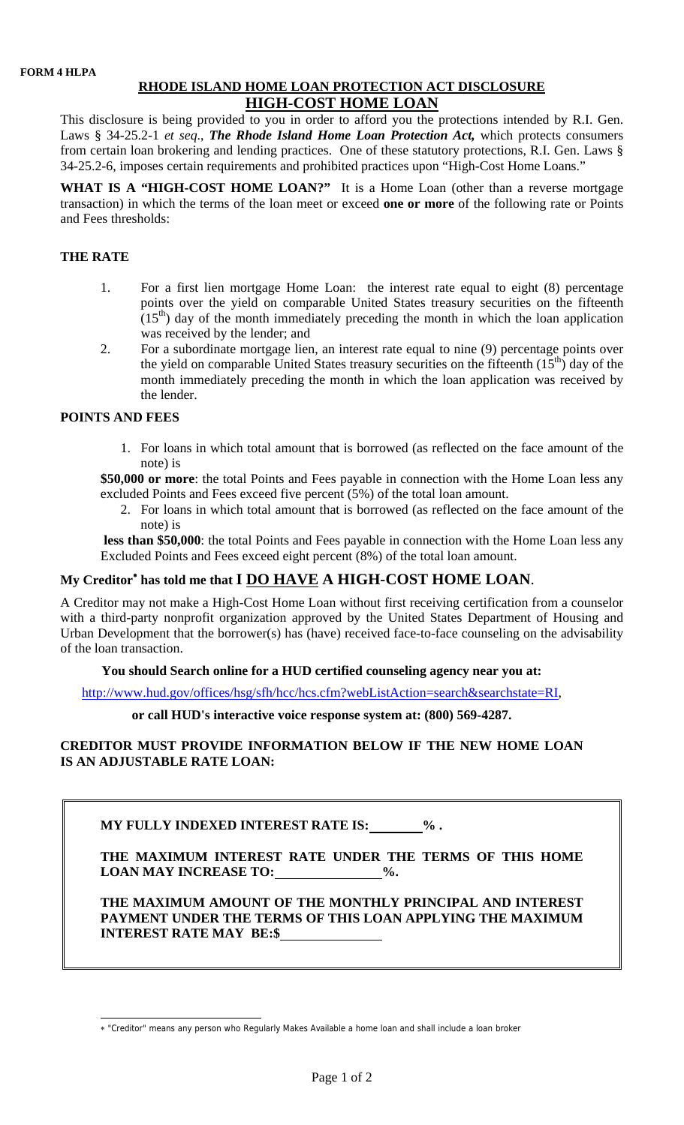# **RHODE ISLAND HOME LOAN PROTECTION ACT DISCLOSURE HIGH-COST HOME LOAN**

This disclosure is being provided to you in order to afford you the protections intended by R.I. Gen. Laws § 34-25.2-1 *et seq*., *The Rhode Island Home Loan Protection Act,* which protects consumers from certain loan brokering and lending practices. One of these statutory protections, R.I. Gen. Laws § 34-25.2-6, imposes certain requirements and prohibited practices upon "High-Cost Home Loans."

WHAT IS A "HIGH-COST HOME LOAN?" It is a Home Loan (other than a reverse mortgage transaction) in which the terms of the loan meet or exceed **one or more** of the following rate or Points and Fees thresholds:

### **THE RATE**

- 1. For a first lien mortgage Home Loan: the interest rate equal to eight (8) percentage points over the yield on comparable United States treasury securities on the fifteenth  $(15<sup>th</sup>)$  day of the month immediately preceding the month in which the loan application was received by the lender; and
- 2. For a subordinate mortgage lien, an interest rate equal to nine (9) percentage points over the yield on comparable United States treasury securities on the fifteenth  $(15<sup>th</sup>)$  day of the month immediately preceding the month in which the loan application was received by the lender.

### **POINTS AND FEES**

1. For loans in which total amount that is borrowed (as reflected on the face amount of the note) is

**\$50,000 or more**: the total Points and Fees payable in connection with the Home Loan less any excluded Points and Fees exceed five percent (5%) of the total loan amount.

2. For loans in which total amount that is borrowed (as reflected on the face amount of the note) is

**less than \$50,000**: the total Points and Fees payable in connection with the Home Loan less any Excluded Points and Fees exceed eight percent (8%) of the total loan amount.

# **My Creditor**<sup>∗</sup>  **has told me that I DO HAVE A HIGH-COST HOME LOAN**.

A Creditor may not make a High-Cost Home Loan without first receiving certification from a counselor with a third-party nonprofit organization approved by the United States Department of Housing and Urban Development that the borrower(s) has (have) received face-to-face counseling on the advisability of the loan transaction.

### **You should Search online for a HUD certified counseling agency near you at:**

http://www.hud.gov/offices/hsg/sfh/hcc/hcs.cfm?webListAction=search&searchstate=RI,

#### **or call HUD's interactive voice response system at: (800) 569-4287.**

## **CREDITOR MUST PROVIDE INFORMATION BELOW IF THE NEW HOME LOAN IS AN ADJUSTABLE RATE LOAN:**

**MY FULLY INDEXED INTEREST RATE IS: We are SET AT ALL ASSESSMENT AT EXAMPLE 20 A** 

**THE MAXIMUM INTEREST RATE UNDER THE TERMS OF THIS HOME**  LOAN MAY INCREASE TO: 0%.

**THE MAXIMUM AMOUNT OF THE MONTHLY PRINCIPAL AND INTEREST PAYMENT UNDER THE TERMS OF THIS LOAN APPLYING THE MAXIMUM INTEREST RATE MAY BE:\$** 

 $\overline{a}$ ∗ "Creditor" means any person who Regularly Makes Available a home loan and shall include a loan broker